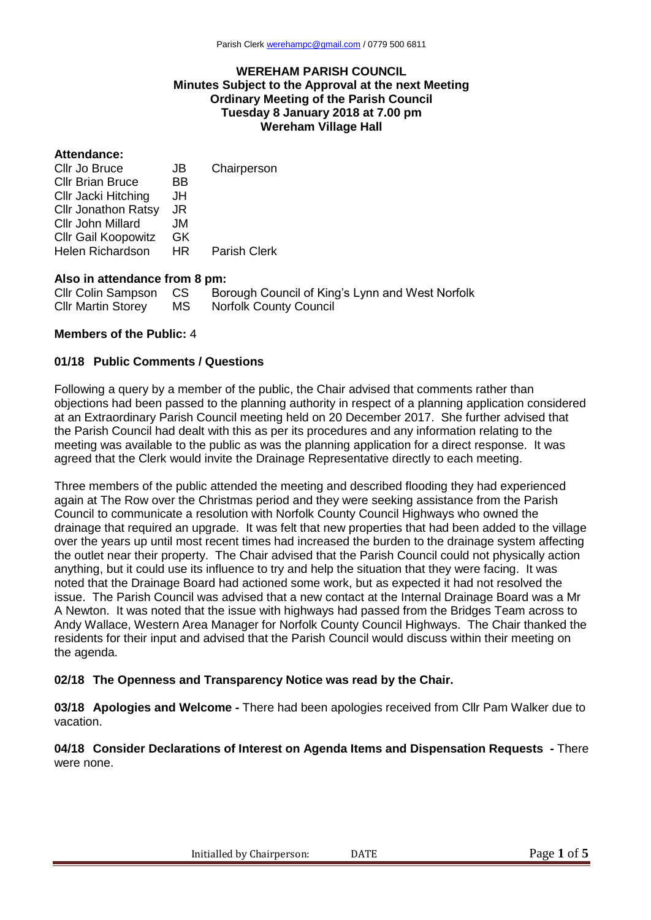### **WEREHAM PARISH COUNCIL Minutes Subject to the Approval at the next Meeting Ordinary Meeting of the Parish Council Tuesday 8 January 2018 at 7.00 pm Wereham Village Hall**

#### **Attendance:**

| Cllr Jo Bruce              | JB  | Chairperson         |
|----------------------------|-----|---------------------|
| <b>Cllr Brian Bruce</b>    | BB  |                     |
| Cllr Jacki Hitching        | JH  |                     |
| <b>Cllr Jonathon Ratsy</b> | JR  |                     |
| Cllr John Millard          | JM  |                     |
| <b>Cllr Gail Koopowitz</b> | GK. |                     |
| <b>Helen Richardson</b>    | HR. | <b>Parish Clerk</b> |

### **Also in attendance from 8 pm:**

| Cllr Colin Sampson CS     |    | Borough Council of King's Lynn and West Norfolk |
|---------------------------|----|-------------------------------------------------|
| <b>Cllr Martin Storey</b> | MS | <b>Norfolk County Council</b>                   |

## **Members of the Public:** 4

### **01/18 Public Comments / Questions**

Following a query by a member of the public, the Chair advised that comments rather than objections had been passed to the planning authority in respect of a planning application considered at an Extraordinary Parish Council meeting held on 20 December 2017. She further advised that the Parish Council had dealt with this as per its procedures and any information relating to the meeting was available to the public as was the planning application for a direct response. It was agreed that the Clerk would invite the Drainage Representative directly to each meeting.

Three members of the public attended the meeting and described flooding they had experienced again at The Row over the Christmas period and they were seeking assistance from the Parish Council to communicate a resolution with Norfolk County Council Highways who owned the drainage that required an upgrade. It was felt that new properties that had been added to the village over the years up until most recent times had increased the burden to the drainage system affecting the outlet near their property. The Chair advised that the Parish Council could not physically action anything, but it could use its influence to try and help the situation that they were facing. It was noted that the Drainage Board had actioned some work, but as expected it had not resolved the issue. The Parish Council was advised that a new contact at the Internal Drainage Board was a Mr A Newton. It was noted that the issue with highways had passed from the Bridges Team across to Andy Wallace, Western Area Manager for Norfolk County Council Highways. The Chair thanked the residents for their input and advised that the Parish Council would discuss within their meeting on the agenda.

## **02/18 The Openness and Transparency Notice was read by the Chair.**

**03/18 Apologies and Welcome -** There had been apologies received from Cllr Pam Walker due to vacation.

### **04/18 Consider Declarations of Interest on Agenda Items and Dispensation Requests -** There were none.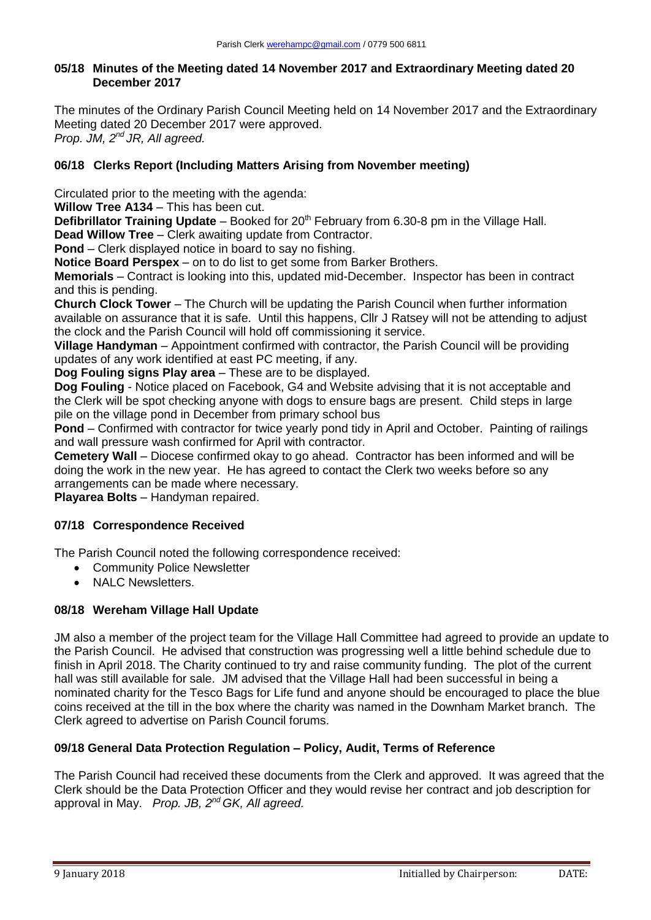# **05/18 Minutes of the Meeting dated 14 November 2017 and Extraordinary Meeting dated 20 December 2017**

The minutes of the Ordinary Parish Council Meeting held on 14 November 2017 and the Extraordinary Meeting dated 20 December 2017 were approved. *Prop. JM, 2nd JR, All agreed.*

# **06/18 Clerks Report (Including Matters Arising from November meeting)**

Circulated prior to the meeting with the agenda:

**Willow Tree A134** – This has been cut.

**Defibrillator Training Update** – Booked for 20<sup>th</sup> February from 6.30-8 pm in the Village Hall.

**Dead Willow Tree** – Clerk awaiting update from Contractor.

**Pond** – Clerk displayed notice in board to say no fishing.

**Notice Board Perspex** – on to do list to get some from Barker Brothers.

**Memorials** – Contract is looking into this, updated mid-December. Inspector has been in contract and this is pending.

**Church Clock Tower** – The Church will be updating the Parish Council when further information available on assurance that it is safe. Until this happens, Cllr J Ratsey will not be attending to adjust the clock and the Parish Council will hold off commissioning it service.

**Village Handyman** – Appointment confirmed with contractor, the Parish Council will be providing updates of any work identified at east PC meeting, if any.

**Dog Fouling signs Play area** – These are to be displayed.

**Dog Fouling** - Notice placed on Facebook, G4 and Website advising that it is not acceptable and the Clerk will be spot checking anyone with dogs to ensure bags are present. Child steps in large pile on the village pond in December from primary school bus

**Pond** – Confirmed with contractor for twice yearly pond tidy in April and October. Painting of railings and wall pressure wash confirmed for April with contractor.

**Cemetery Wall** – Diocese confirmed okay to go ahead. Contractor has been informed and will be doing the work in the new year. He has agreed to contact the Clerk two weeks before so any arrangements can be made where necessary.

**Playarea Bolts** – Handyman repaired.

# **07/18 Correspondence Received**

The Parish Council noted the following correspondence received:

- Community Police Newsletter
- NALC Newsletters.

# **08/18 Wereham Village Hall Update**

JM also a member of the project team for the Village Hall Committee had agreed to provide an update to the Parish Council. He advised that construction was progressing well a little behind schedule due to finish in April 2018. The Charity continued to try and raise community funding. The plot of the current hall was still available for sale. JM advised that the Village Hall had been successful in being a nominated charity for the Tesco Bags for Life fund and anyone should be encouraged to place the blue coins received at the till in the box where the charity was named in the Downham Market branch. The Clerk agreed to advertise on Parish Council forums.

# **09/18 General Data Protection Regulation – Policy, Audit, Terms of Reference**

The Parish Council had received these documents from the Clerk and approved. It was agreed that the Clerk should be the Data Protection Officer and they would revise her contract and job description for approval in May. *Prop. JB, 2nd GK, All agreed.*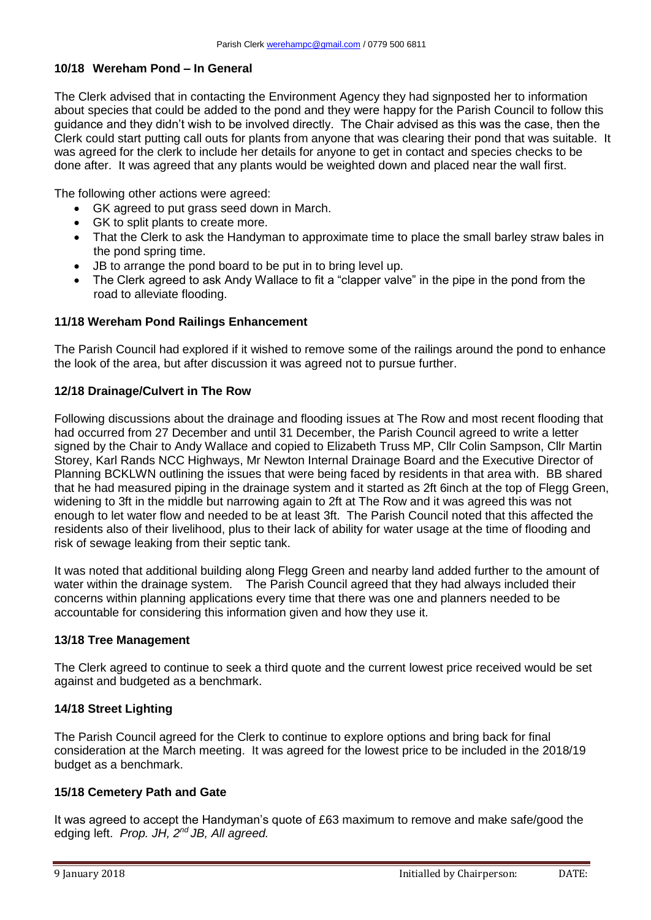## **10/18 Wereham Pond – In General**

The Clerk advised that in contacting the Environment Agency they had signposted her to information about species that could be added to the pond and they were happy for the Parish Council to follow this guidance and they didn't wish to be involved directly. The Chair advised as this was the case, then the Clerk could start putting call outs for plants from anyone that was clearing their pond that was suitable. It was agreed for the clerk to include her details for anyone to get in contact and species checks to be done after. It was agreed that any plants would be weighted down and placed near the wall first.

The following other actions were agreed:

- GK agreed to put grass seed down in March.
- GK to split plants to create more.
- That the Clerk to ask the Handyman to approximate time to place the small barley straw bales in the pond spring time.
- JB to arrange the pond board to be put in to bring level up.
- The Clerk agreed to ask Andy Wallace to fit a "clapper valve" in the pipe in the pond from the road to alleviate flooding.

### **11/18 Wereham Pond Railings Enhancement**

The Parish Council had explored if it wished to remove some of the railings around the pond to enhance the look of the area, but after discussion it was agreed not to pursue further.

### **12/18 Drainage/Culvert in The Row**

Following discussions about the drainage and flooding issues at The Row and most recent flooding that had occurred from 27 December and until 31 December, the Parish Council agreed to write a letter signed by the Chair to Andy Wallace and copied to Elizabeth Truss MP, Cllr Colin Sampson, Cllr Martin Storey, Karl Rands NCC Highways, Mr Newton Internal Drainage Board and the Executive Director of Planning BCKLWN outlining the issues that were being faced by residents in that area with. BB shared that he had measured piping in the drainage system and it started as 2ft 6inch at the top of Flegg Green, widening to 3ft in the middle but narrowing again to 2ft at The Row and it was agreed this was not enough to let water flow and needed to be at least 3ft. The Parish Council noted that this affected the residents also of their livelihood, plus to their lack of ability for water usage at the time of flooding and risk of sewage leaking from their septic tank.

It was noted that additional building along Flegg Green and nearby land added further to the amount of water within the drainage system. The Parish Council agreed that they had always included their concerns within planning applications every time that there was one and planners needed to be accountable for considering this information given and how they use it.

#### **13/18 Tree Management**

The Clerk agreed to continue to seek a third quote and the current lowest price received would be set against and budgeted as a benchmark.

## **14/18 Street Lighting**

The Parish Council agreed for the Clerk to continue to explore options and bring back for final consideration at the March meeting. It was agreed for the lowest price to be included in the 2018/19 budget as a benchmark.

## **15/18 Cemetery Path and Gate**

It was agreed to accept the Handyman's quote of £63 maximum to remove and make safe/good the edging left. *Prop. JH, 2nd JB, All agreed.*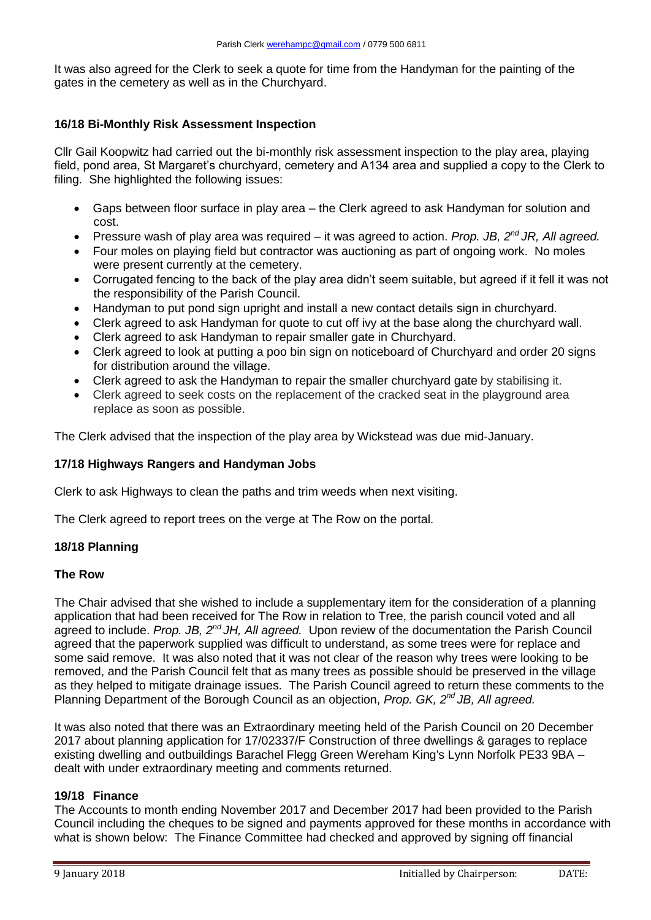It was also agreed for the Clerk to seek a quote for time from the Handyman for the painting of the gates in the cemetery as well as in the Churchyard.

# **16/18 Bi-Monthly Risk Assessment Inspection**

Cllr Gail Koopwitz had carried out the bi-monthly risk assessment inspection to the play area, playing field, pond area, St Margaret's churchyard, cemetery and A134 area and supplied a copy to the Clerk to filing. She highlighted the following issues:

- Gaps between floor surface in play area the Clerk agreed to ask Handyman for solution and cost.
- Pressure wash of play area was required it was agreed to action. *Prop. JB, 2nd JR, All agreed.*
- Four moles on playing field but contractor was auctioning as part of ongoing work. No moles were present currently at the cemetery.
- Corrugated fencing to the back of the play area didn't seem suitable, but agreed if it fell it was not the responsibility of the Parish Council.
- Handyman to put pond sign upright and install a new contact details sign in churchyard.
- Clerk agreed to ask Handyman for quote to cut off ivy at the base along the churchyard wall.
- Clerk agreed to ask Handyman to repair smaller gate in Churchyard.
- Clerk agreed to look at putting a poo bin sign on noticeboard of Churchyard and order 20 signs for distribution around the village.
- Clerk agreed to ask the Handyman to repair the smaller churchyard gate by stabilising it.
- Clerk agreed to seek costs on the replacement of the cracked seat in the playground area replace as soon as possible.

The Clerk advised that the inspection of the play area by Wickstead was due mid-January.

## **17/18 Highways Rangers and Handyman Jobs**

Clerk to ask Highways to clean the paths and trim weeds when next visiting.

The Clerk agreed to report trees on the verge at The Row on the portal.

## **18/18 Planning**

## **The Row**

The Chair advised that she wished to include a supplementary item for the consideration of a planning application that had been received for The Row in relation to Tree, the parish council voted and all agreed to include. *Prop. JB, 2nd JH, All agreed.* Upon review of the documentation the Parish Council agreed that the paperwork supplied was difficult to understand, as some trees were for replace and some said remove. It was also noted that it was not clear of the reason why trees were looking to be removed, and the Parish Council felt that as many trees as possible should be preserved in the village as they helped to mitigate drainage issues. The Parish Council agreed to return these comments to the Planning Department of the Borough Council as an objection, *Prop. GK, 2nd JB, All agreed.*

It was also noted that there was an Extraordinary meeting held of the Parish Council on 20 December 2017 about planning application for 17/02337/F Construction of three dwellings & garages to replace existing dwelling and outbuildings Barachel Flegg Green Wereham King's Lynn Norfolk PE33 9BA – dealt with under extraordinary meeting and comments returned.

## **19/18 Finance**

The Accounts to month ending November 2017 and December 2017 had been provided to the Parish Council including the cheques to be signed and payments approved for these months in accordance with what is shown below: The Finance Committee had checked and approved by signing off financial